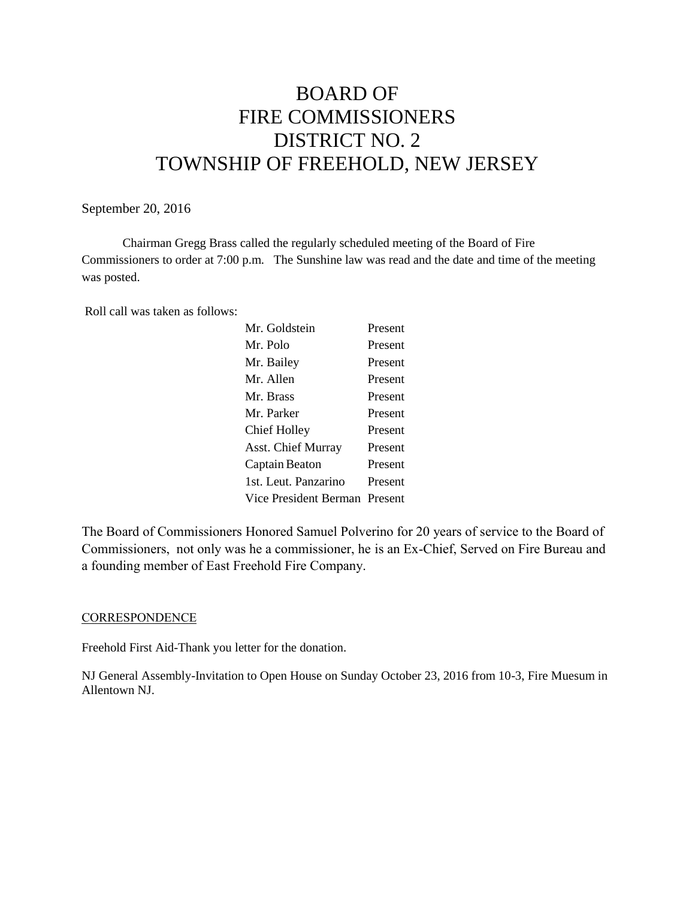# BOARD OF FIRE COMMISSIONERS DISTRICT NO. 2 TOWNSHIP OF FREEHOLD, NEW JERSEY

## September 20, 2016

Chairman Gregg Brass called the regularly scheduled meeting of the Board of Fire Commissioners to order at 7:00 p.m. The Sunshine law was read and the date and time of the meeting was posted.

Roll call was taken as follows:

| Mr. Goldstein                 | Present |
|-------------------------------|---------|
| Mr. Polo                      | Present |
| Mr. Bailey                    | Present |
| Mr. Allen                     | Present |
| Mr. Brass                     | Present |
| Mr. Parker                    | Present |
| <b>Chief Holley</b>           | Present |
| Asst. Chief Murray            | Present |
| Captain Beaton                | Present |
| 1st. Leut. Panzarino          | Present |
| Vice President Berman Present |         |
|                               |         |

The Board of Commissioners Honored Samuel Polverino for 20 years of service to the Board of Commissioners, not only was he a commissioner, he is an Ex-Chief, Served on Fire Bureau and a founding member of East Freehold Fire Company.

#### **CORRESPONDENCE**

Freehold First Aid-Thank you letter for the donation.

NJ General Assembly-Invitation to Open House on Sunday October 23, 2016 from 10-3, Fire Muesum in Allentown NJ.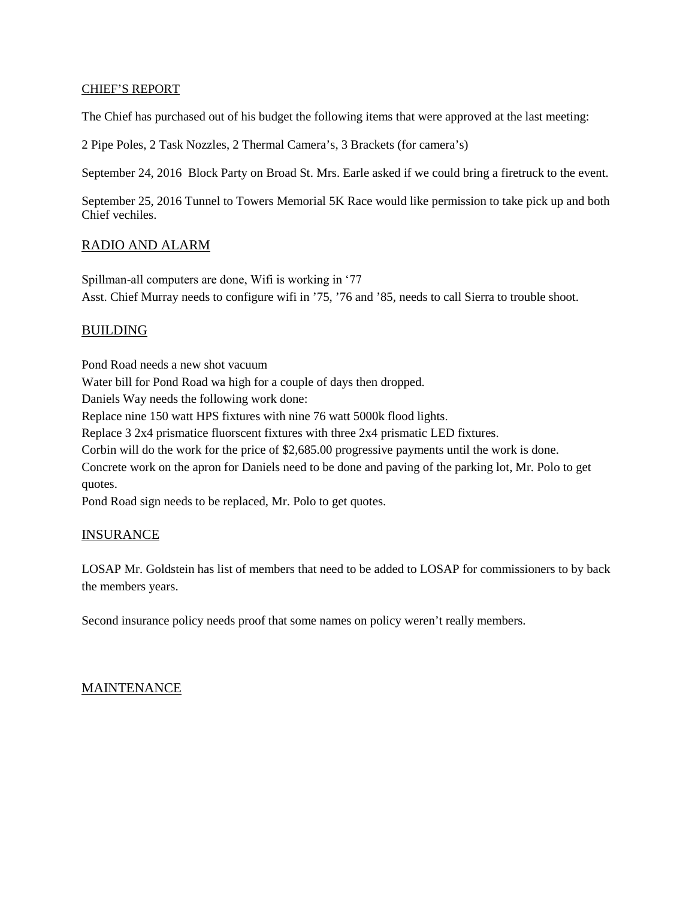### CHIEF'S REPORT

The Chief has purchased out of his budget the following items that were approved at the last meeting:

2 Pipe Poles, 2 Task Nozzles, 2 Thermal Camera's, 3 Brackets (for camera's)

September 24, 2016 Block Party on Broad St. Mrs. Earle asked if we could bring a firetruck to the event.

September 25, 2016 Tunnel to Towers Memorial 5K Race would like permission to take pick up and both Chief vechiles.

# RADIO AND ALARM

Spillman-all computers are done, Wifi is working in '77 Asst. Chief Murray needs to configure wifi in '75, '76 and '85, needs to call Sierra to trouble shoot.

# BUILDING

Pond Road needs a new shot vacuum Water bill for Pond Road wa high for a couple of days then dropped. Daniels Way needs the following work done: Replace nine 150 watt HPS fixtures with nine 76 watt 5000k flood lights. Replace 3 2x4 prismatice fluorscent fixtures with three 2x4 prismatic LED fixtures. Corbin will do the work for the price of \$2,685.00 progressive payments until the work is done. Concrete work on the apron for Daniels need to be done and paving of the parking lot, Mr. Polo to get quotes. Pond Road sign needs to be replaced, Mr. Polo to get quotes.

## INSURANCE

LOSAP Mr. Goldstein has list of members that need to be added to LOSAP for commissioners to by back the members years.

Second insurance policy needs proof that some names on policy weren't really members.

## MAINTENANCE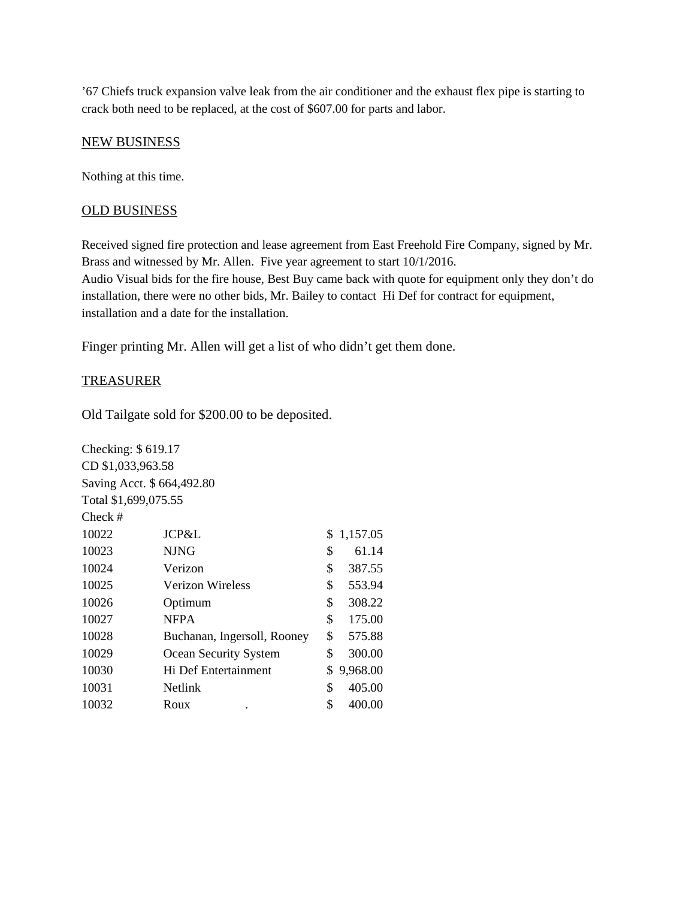'67 Chiefs truck expansion valve leak from the air conditioner and the exhaust flex pipe is starting to crack both need to be replaced, at the cost of \$607.00 for parts and labor.

#### NEW BUSINESS

Nothing at this time.

#### OLD BUSINESS

Received signed fire protection and lease agreement from East Freehold Fire Company, signed by Mr. Brass and witnessed by Mr. Allen. Five year agreement to start 10/1/2016. Audio Visual bids for the fire house, Best Buy came back with quote for equipment only they don't do installation, there were no other bids, Mr. Bailey to contact Hi Def for contract for equipment, installation and a date for the installation.

Finger printing Mr. Allen will get a list of who didn't get them done.

#### TREASURER

Old Tailgate sold for \$200.00 to be deposited.

| Checking: \$619.17   |                             |                |
|----------------------|-----------------------------|----------------|
| CD \$1,033,963.58    |                             |                |
|                      | Saving Acct. \$664,492.80   |                |
| Total \$1,699,075.55 |                             |                |
| Check #              |                             |                |
| 10022                | JCP&L                       | 1,157.05<br>\$ |
| 10023                | <b>NJNG</b>                 | \$<br>61.14    |
| 10024                | Verizon                     | \$<br>387.55   |
| 10025                | Verizon Wireless            | \$<br>553.94   |
| 10026                | Optimum                     | \$<br>308.22   |
| 10027                | <b>NFPA</b>                 | \$<br>175.00   |
| 10028                | Buchanan, Ingersoll, Rooney | \$<br>575.88   |
| 10029                | Ocean Security System       | \$<br>300.00   |
| 10030                | Hi Def Entertainment        | \$<br>9,968.00 |
| 10031                | <b>Netlink</b>              | \$<br>405.00   |
| 10032                | Roux                        | \$<br>400.00   |